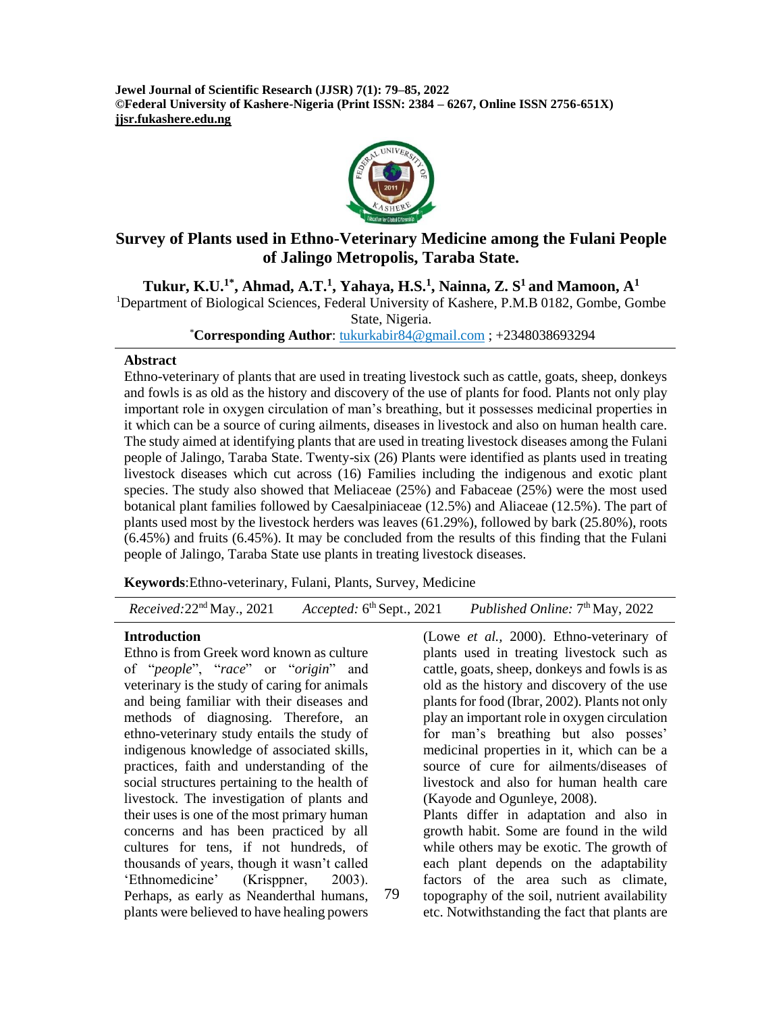**Jewel Journal of Scientific Research (JJSR) 7(1): 79–85, 2022 ©Federal University of Kashere-Nigeria (Print ISSN: 2384 – 6267, Online ISSN 2756-651X) jjsr.fukashere.edu.ng**



# **Survey of Plants used in Ethno-Veterinary Medicine among the Fulani People of Jalingo Metropolis, Taraba State.**

**Tukur, K.U.1\*, Ahmad, A.T.<sup>1</sup> , Yahaya, H.S.<sup>1</sup> , Nainna, Z. S <sup>1</sup>and Mamoon, A<sup>1</sup>** <sup>1</sup>Department of Biological Sciences, Federal University of Kashere, P.M.B 0182, Gombe, Gombe State, Nigeria.

\***Corresponding Author**: [tukurkabir84@gmail.com](mailto:tukurkabir84@gmail.com) ; +2348038693294

#### **Abstract**

Ethno-veterinary of plants that are used in treating livestock such as cattle, goats, sheep, donkeys and fowls is as old as the history and discovery of the use of plants for food. Plants not only play important role in oxygen circulation of man's breathing, but it possesses medicinal properties in it which can be a source of curing ailments, diseases in livestock and also on human health care. The study aimed at identifying plants that are used in treating livestock diseases among the Fulani people of Jalingo, Taraba State. Twenty-six (26) Plants were identified as plants used in treating livestock diseases which cut across (16) Families including the indigenous and exotic plant species. The study also showed that Meliaceae (25%) and Fabaceae (25%) were the most used botanical plant families followed by Caesalpiniaceae (12.5%) and Aliaceae (12.5%). The part of plants used most by the livestock herders was leaves (61.29%), followed by bark (25.80%), roots (6.45%) and fruits (6.45%). It may be concluded from the results of this finding that the Fulani people of Jalingo, Taraba State use plants in treating livestock diseases.

**Keywords**:Ethno-veterinary, Fulani, Plants, Survey, Medicine

 *Received:*22nd May., 2021 *Accepted:* 6 <sup>th</sup> Sept., 2021 *Published Online:* 7<sup>th</sup> May, 2022

#### **Introduction**

Ethno is from Greek word known as culture of "*people*", "*race*" or "*origin*" and veterinary is the study of caring for animals and being familiar with their diseases and methods of diagnosing. Therefore, an ethno-veterinary study entails the study of indigenous knowledge of associated skills, practices, faith and understanding of the social structures pertaining to the health of livestock. The investigation of plants and their uses is one of the most primary human concerns and has been practiced by all cultures for tens, if not hundreds, of thousands of years, though it wasn't called 'Ethnomedicine' (Krisppner, 2003). Perhaps, as early as Neanderthal humans, plants were believed to have healing powers

(Lowe *et al.,* 2000). Ethno-veterinary of plants used in treating livestock such as cattle, goats, sheep, donkeys and fowls is as old as the history and discovery of the use plants for food (Ibrar, 2002). Plants not only play an important role in oxygen circulation for man's breathing but also posses' medicinal properties in it, which can be a source of cure for ailments/diseases of livestock and also for human health care (Kayode and Ogunleye, 2008). Plants differ in adaptation and also in

growth habit. Some are found in the wild while others may be exotic. The growth of each plant depends on the adaptability factors of the area such as climate, topography of the soil, nutrient availability etc. Notwithstanding the fact that plants are

79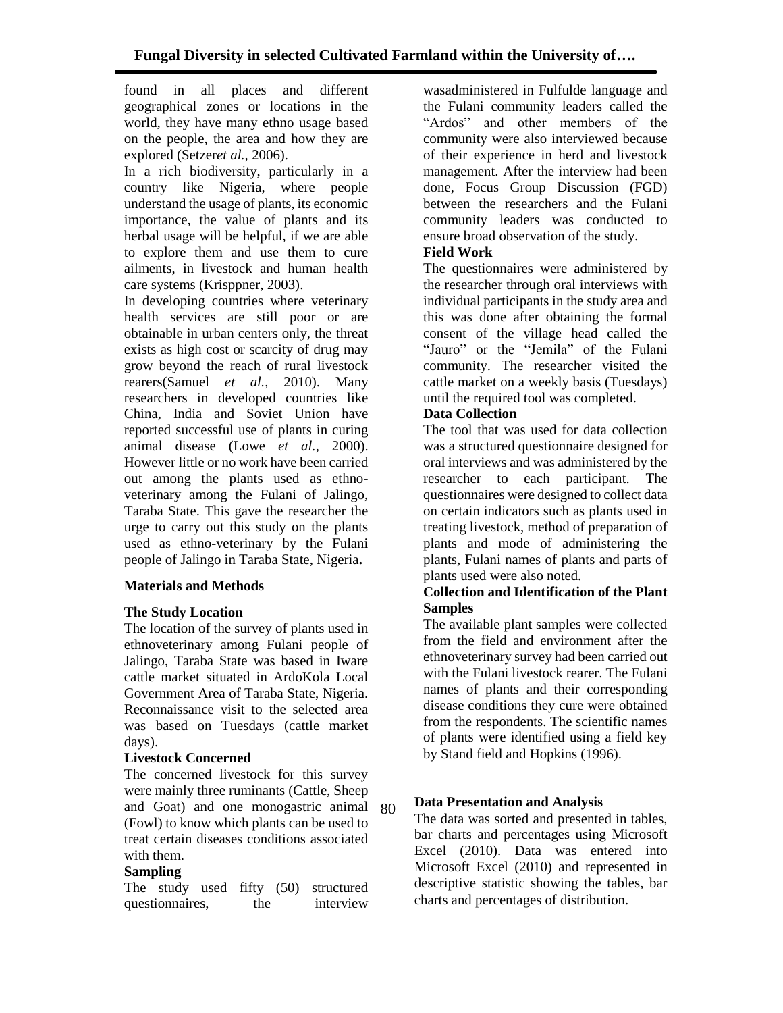found in all places and different geographical zones or locations in the world, they have many ethno usage based on the people, the area and how they are explored (Setzer*et al.,* 2006).

In a rich biodiversity, particularly in a country like Nigeria, where people understand the usage of plants, its economic importance, the value of plants and its herbal usage will be helpful, if we are able to explore them and use them to cure ailments, in livestock and human health care systems (Krisppner, 2003).

In developing countries where veterinary health services are still poor or are obtainable in urban centers only, the threat exists as high cost or scarcity of drug may grow beyond the reach of rural livestock rearers(Samuel *et al.,* 2010). Many researchers in developed countries like China, India and Soviet Union have reported successful use of plants in curing animal disease (Lowe *et al.,* 2000). However little or no work have been carried out among the plants used as ethnoveterinary among the Fulani of Jalingo, Taraba State. This gave the researcher the urge to carry out this study on the plants used as ethno-veterinary by the Fulani people of Jalingo in Taraba State, Nigeria**.**

## **Materials and Methods**

#### **The Study Location**

The location of the survey of plants used in ethnoveterinary among Fulani people of Jalingo, Taraba State was based in Iware cattle market situated in ArdoKola Local Government Area of Taraba State, Nigeria. Reconnaissance visit to the selected area was based on Tuesdays (cattle market days).

#### **Livestock Concerned**

The concerned livestock for this survey were mainly three ruminants (Cattle, Sheep and Goat) and one monogastric animal 80(Fowl) to know which plants can be used to treat certain diseases conditions associated with them.

#### **Sampling**

The study used fifty (50) structured questionnaires, the interview

wasadministered in Fulfulde language and the Fulani community leaders called the "Ardos" and other members of the community were also interviewed because of their experience in herd and livestock management. After the interview had been done, Focus Group Discussion (FGD) between the researchers and the Fulani community leaders was conducted to ensure broad observation of the study.

### **Field Work**

The questionnaires were administered by the researcher through oral interviews with individual participants in the study area and this was done after obtaining the formal consent of the village head called the "Jauro" or the "Jemila" of the Fulani community. The researcher visited the cattle market on a weekly basis (Tuesdays) until the required tool was completed.

#### **Data Collection**

The tool that was used for data collection was a structured questionnaire designed for oral interviews and was administered by the researcher to each participant. The questionnaires were designed to collect data on certain indicators such as plants used in treating livestock, method of preparation of plants and mode of administering the plants, Fulani names of plants and parts of plants used were also noted.

### **Collection and Identification of the Plant Samples**

The available plant samples were collected from the field and environment after the ethnoveterinary survey had been carried out with the Fulani livestock rearer. The Fulani names of plants and their corresponding disease conditions they cure were obtained from the respondents. The scientific names of plants were identified using a field key by Stand field and Hopkins (1996).

## **Data Presentation and Analysis**

The data was sorted and presented in tables, bar charts and percentages using Microsoft Excel (2010). Data was entered into Microsoft Excel (2010) and represented in descriptive statistic showing the tables, bar charts and percentages of distribution.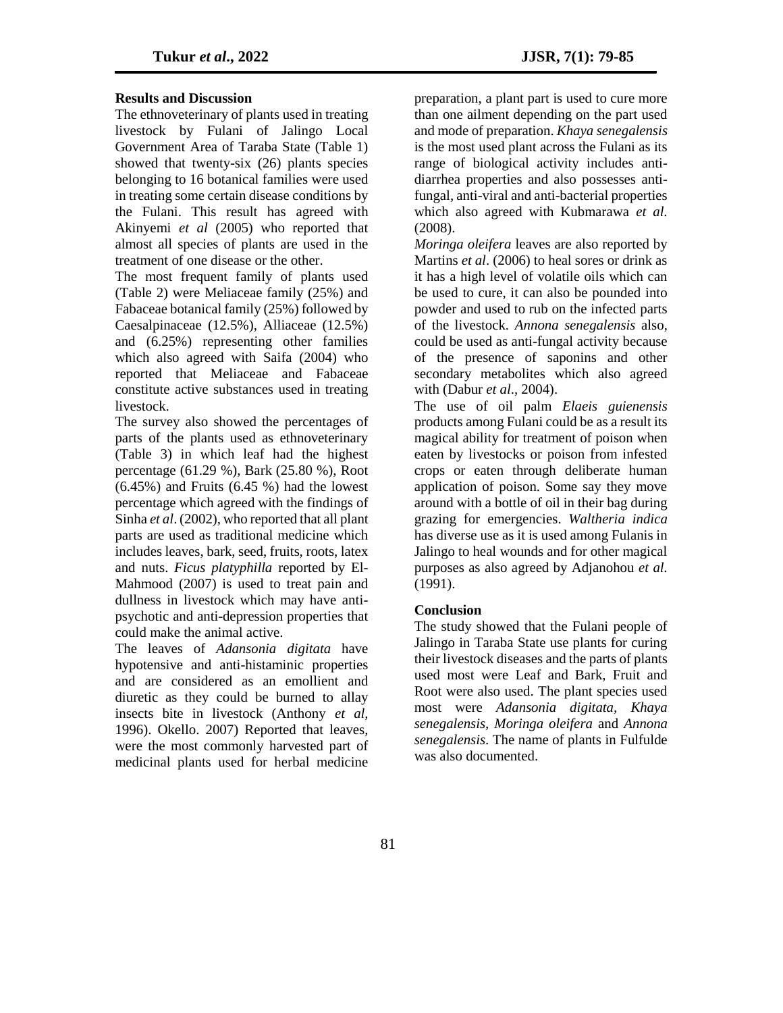#### **Results and Discussion**

The ethnoveterinary of plants used in treating livestock by Fulani of Jalingo Local Government Area of Taraba State (Table 1) showed that twenty-six (26) plants species belonging to 16 botanical families were used in treating some certain disease conditions by the Fulani. This result has agreed with Akinyemi *et al* (2005) who reported that almost all species of plants are used in the treatment of one disease or the other.

The most frequent family of plants used (Table 2) were Meliaceae family (25%) and Fabaceae botanical family (25%) followed by Caesalpinaceae (12.5%), Alliaceae (12.5%) and (6.25%) representing other families which also agreed with Saifa (2004) who reported that Meliaceae and Fabaceae constitute active substances used in treating livestock.

The survey also showed the percentages of parts of the plants used as ethnoveterinary (Table 3) in which leaf had the highest percentage (61.29 %), Bark (25.80 %), Root  $(6.45\%)$  and Fruits  $(6.45\%)$  had the lowest percentage which agreed with the findings of Sinha *et al*. (2002), who reported that all plant parts are used as traditional medicine which includes leaves, bark, seed, fruits, roots, latex and nuts. *Ficus platyphilla* reported by El-Mahmood (2007) is used to treat pain and dullness in livestock which may have antipsychotic and anti-depression properties that could make the animal active.

The leaves of *Adansonia digitata* have hypotensive and anti-histaminic properties and are considered as an emollient and diuretic as they could be burned to allay insects bite in livestock (Anthony *et al,*  1996). Okello. 2007) Reported that leaves, were the most commonly harvested part of medicinal plants used for herbal medicine

preparation, a plant part is used to cure more than one ailment depending on the part used and mode of preparation. *Khaya senegalensis* is the most used plant across the Fulani as its range of biological activity includes antidiarrhea properties and also possesses antifungal, anti-viral and anti-bacterial properties which also agreed with Kubmarawa *et al.* (2008).

*Moringa oleifera* leaves are also reported by Martins *et al*. (2006) to heal sores or drink as it has a high level of volatile oils which can be used to cure, it can also be pounded into powder and used to rub on the infected parts of the livestock. *Annona senegalensis* also, could be used as anti-fungal activity because of the presence of saponins and other secondary metabolites which also agreed with (Dabur *et al*., 2004).

The use of oil palm *Elaeis guienensis* products among Fulani could be as a result its magical ability for treatment of poison when eaten by livestocks or poison from infested crops or eaten through deliberate human application of poison. Some say they move around with a bottle of oil in their bag during grazing for emergencies. *Waltheria indica* has diverse use as it is used among Fulanis in Jalingo to heal wounds and for other magical purposes as also agreed by Adjanohou *et al.* (1991).

#### **Conclusion**

The study showed that the Fulani people of Jalingo in Taraba State use plants for curing their livestock diseases and the parts of plants used most were Leaf and Bark, Fruit and Root were also used. The plant species used most were *Adansonia digitata, Khaya senegalensis, Moringa oleifera* and *Annona senegalensis*. The name of plants in Fulfulde was also documented.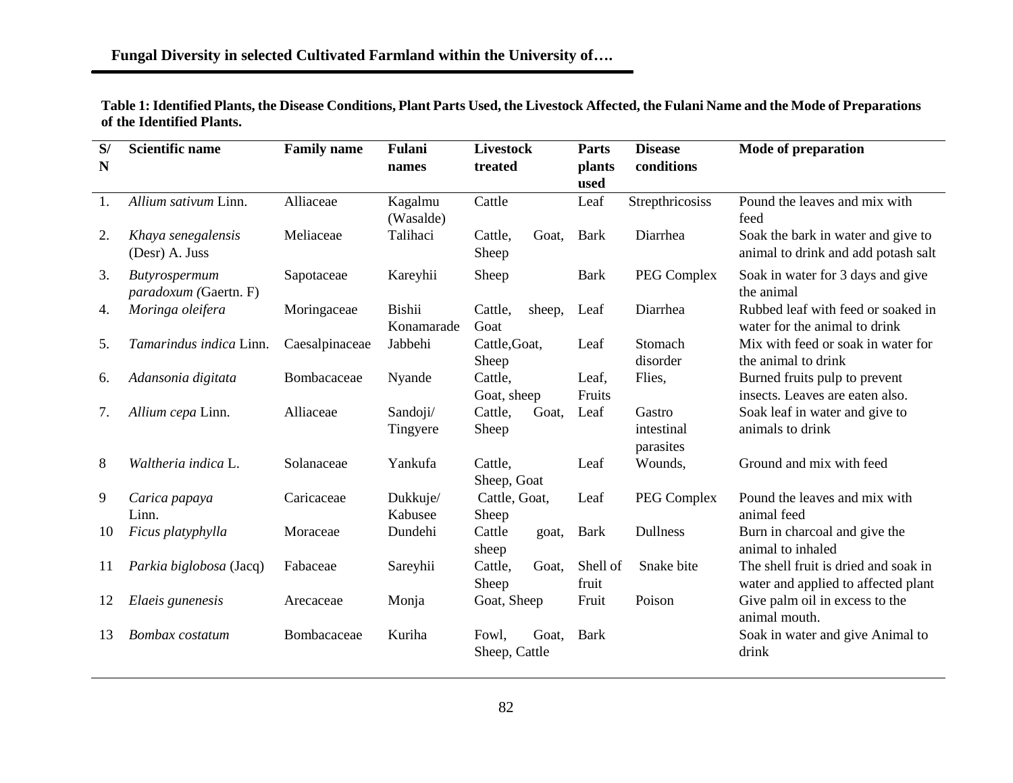| Table 1: Identified Plants, the Disease Conditions, Plant Parts Used, the Livestock Affected, the Fulani Name and the Mode of Preparations |  |
|--------------------------------------------------------------------------------------------------------------------------------------------|--|
| of the Identified Plants.                                                                                                                  |  |

| S/<br>N | <b>Scientific name</b>                 | <b>Family name</b> | Fulani<br>names             | <b>Livestock</b><br>treated |        | Parts<br>plants<br>used | <b>Disease</b><br>conditions      | <b>Mode of preparation</b>                                                  |
|---------|----------------------------------------|--------------------|-----------------------------|-----------------------------|--------|-------------------------|-----------------------------------|-----------------------------------------------------------------------------|
| 1.      | Allium sativum Linn.                   | Alliaceae          | Kagalmu<br>(Wasalde)        | Cattle                      |        | Leaf                    | Strepthricosiss                   | Pound the leaves and mix with<br>feed                                       |
| 2.      | Khaya senegalensis<br>(Desr) A. Juss   | Meliaceae          | Talihaci                    | Cattle,<br>Sheep            | Goat.  | <b>Bark</b>             | Diarrhea                          | Soak the bark in water and give to<br>animal to drink and add potash salt   |
| 3.      | Butyrospermum<br>paradoxum (Gaertn. F) | Sapotaceae         | Kareyhii                    | Sheep                       |        | <b>Bark</b>             | <b>PEG Complex</b>                | Soak in water for 3 days and give<br>the animal                             |
| 4.      | Moringa oleifera                       | Moringaceae        | <b>Bishii</b><br>Konamarade | Cattle,<br>Goat             | sheep, | Leaf                    | Diarrhea                          | Rubbed leaf with feed or soaked in<br>water for the animal to drink         |
| 5.      | Tamarindus indica Linn.                | Caesalpinaceae     | Jabbehi                     | Cattle, Goat,<br>Sheep      |        | Leaf                    | Stomach<br>disorder               | Mix with feed or soak in water for<br>the animal to drink                   |
| 6.      | Adansonia digitata                     | Bombacaceae        | Nyande                      | Cattle,<br>Goat, sheep      |        | Leaf,<br>Fruits         | Flies,                            | Burned fruits pulp to prevent<br>insects. Leaves are eaten also.            |
| 7.      | Allium cepa Linn.                      | Alliaceae          | Sandoji/<br>Tingyere        | Cattle,<br>Sheep            | Goat,  | Leaf                    | Gastro<br>intestinal<br>parasites | Soak leaf in water and give to<br>animals to drink                          |
| 8       | Waltheria indica L.                    | Solanaceae         | Yankufa                     | Cattle,<br>Sheep, Goat      |        | Leaf                    | Wounds,                           | Ground and mix with feed                                                    |
| 9       | Carica papaya<br>Linn.                 | Caricaceae         | Dukkuje/<br>Kabusee         | Cattle, Goat,<br>Sheep      |        | Leaf                    | PEG Complex                       | Pound the leaves and mix with<br>animal feed                                |
| 10      | Ficus platyphylla                      | Moraceae           | Dundehi                     | Cattle<br>sheep             | goat,  | <b>Bark</b>             | <b>Dullness</b>                   | Burn in charcoal and give the<br>animal to inhaled                          |
| 11      | Parkia biglobosa (Jacq)                | Fabaceae           | Sareyhii                    | Cattle,<br>Sheep            | Goat,  | Shell of<br>fruit       | Snake bite                        | The shell fruit is dried and soak in<br>water and applied to affected plant |
| 12      | Elaeis gunenesis                       | Arecaceae          | Monja                       | Goat, Sheep                 |        | Fruit                   | Poison                            | Give palm oil in excess to the<br>animal mouth.                             |
| 13      | Bombax costatum                        | Bombacaceae        | Kuriha                      | Fowl,<br>Sheep, Cattle      | Goat,  | <b>Bark</b>             |                                   | Soak in water and give Animal to<br>drink                                   |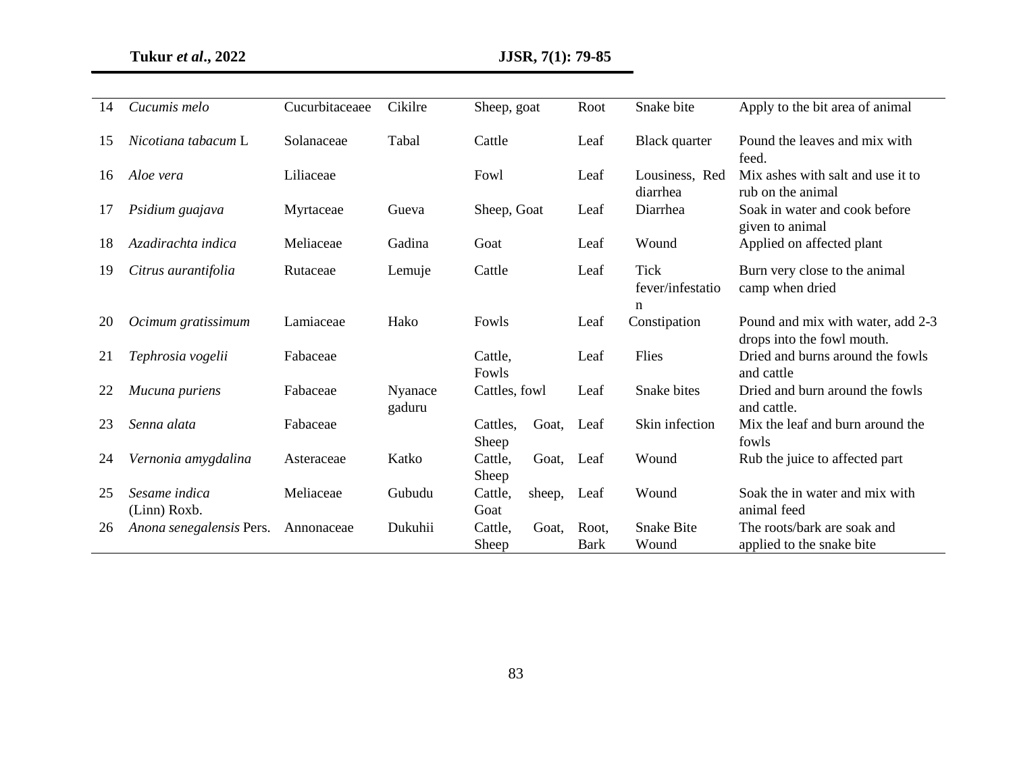| 14 | Cucumis melo                  | Cucurbitaceaee | Cikilre           | Sheep, goat                | Root                 | Snake bite                           | Apply to the bit area of animal                                 |
|----|-------------------------------|----------------|-------------------|----------------------------|----------------------|--------------------------------------|-----------------------------------------------------------------|
| 15 | Nicotiana tabacum L           | Solanaceae     | Tabal             | Cattle                     | Leaf                 | Black quarter                        | Pound the leaves and mix with<br>feed.                          |
| 16 | Aloe vera                     | Liliaceae      |                   | Fowl                       | Leaf                 | Lousiness, Red<br>diarrhea           | Mix ashes with salt and use it to<br>rub on the animal          |
| 17 | Psidium guajava               | Myrtaceae      | Gueva             | Sheep, Goat                | Leaf                 | Diarrhea                             | Soak in water and cook before<br>given to animal                |
| 18 | Azadirachta indica            | Meliaceae      | Gadina            | Goat                       | Leaf                 | Wound                                | Applied on affected plant                                       |
| 19 | Citrus aurantifolia           | Rutaceae       | Lemuje            | Cattle                     | Leaf                 | <b>Tick</b><br>fever/infestatio<br>n | Burn very close to the animal<br>camp when dried                |
| 20 | Ocimum gratissimum            | Lamiaceae      | Hako              | Fowls                      | Leaf                 | Constipation                         | Pound and mix with water, add 2-3<br>drops into the fowl mouth. |
| 21 | Tephrosia vogelii             | Fabaceae       |                   | Cattle,<br>Fowls           | Leaf                 | Flies                                | Dried and burns around the fowls<br>and cattle                  |
| 22 | Mucuna puriens                | Fabaceae       | Nyanace<br>gaduru | Cattles, fowl              | Leaf                 | Snake bites                          | Dried and burn around the fowls<br>and cattle.                  |
| 23 | Senna alata                   | Fabaceae       |                   | Cattles,<br>Goat,<br>Sheep | Leaf                 | Skin infection                       | Mix the leaf and burn around the<br>fowls                       |
| 24 | Vernonia amygdalina           | Asteraceae     | Katko             | Cattle,<br>Goat,<br>Sheep  | Leaf                 | Wound                                | Rub the juice to affected part                                  |
| 25 | Sesame indica<br>(Linn) Roxb. | Meliaceae      | Gubudu            | Cattle,<br>sheep,<br>Goat  | Leaf                 | Wound                                | Soak the in water and mix with<br>animal feed                   |
| 26 | Anona senegalensis Pers.      | Annonaceae     | Dukuhii           | Cattle,<br>Goat,<br>Sheep  | Root,<br><b>Bark</b> | <b>Snake Bite</b><br>Wound           | The roots/bark are soak and<br>applied to the snake bite        |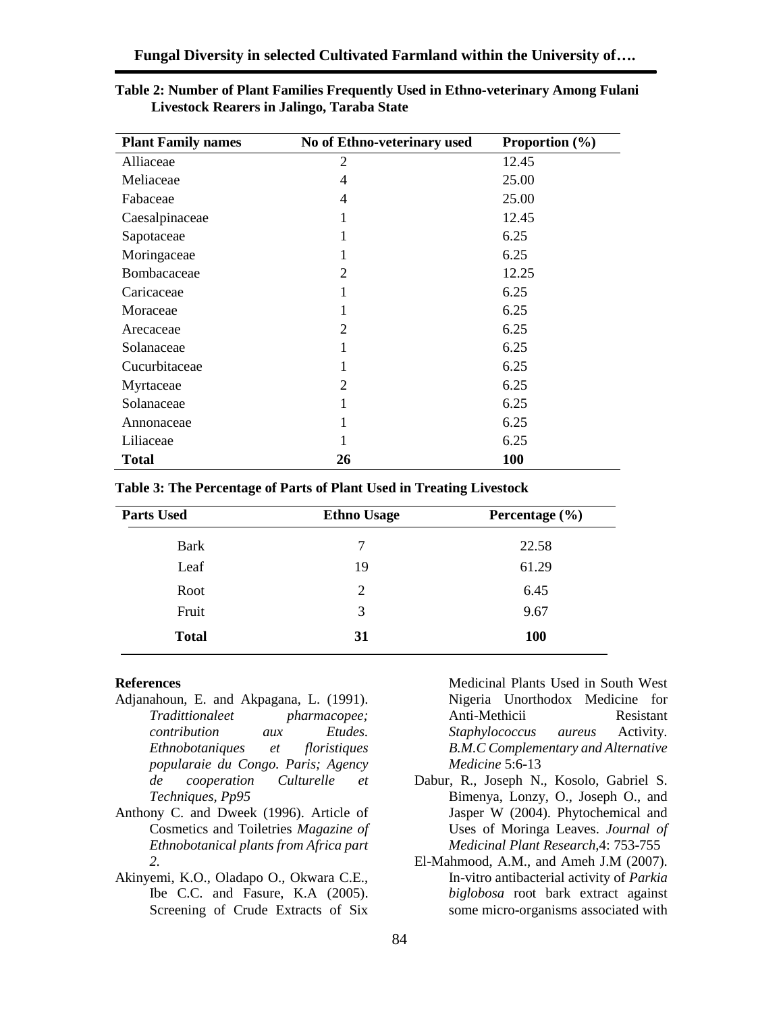| <b>Plant Family names</b> | No of Ethno-veterinary used | Proportion $(\% )$ |
|---------------------------|-----------------------------|--------------------|
| Alliaceae                 | 2                           | 12.45              |
| Meliaceae                 | 4                           | 25.00              |
| Fabaceae                  | 4                           | 25.00              |
| Caesalpinaceae            | 1                           | 12.45              |
| Sapotaceae                |                             | 6.25               |
| Moringaceae               | 1                           | 6.25               |
| Bombacaceae               | 2                           | 12.25              |
| Caricaceae                |                             | 6.25               |
| Moraceae                  | 1                           | 6.25               |
| Arecaceae                 | 2                           | 6.25               |
| Solanaceae                |                             | 6.25               |
| Cucurbitaceae             | 1                           | 6.25               |
| Myrtaceae                 | 2                           | 6.25               |
| Solanaceae                |                             | 6.25               |
| Annonaceae                | 1                           | 6.25               |
| Liliaceae                 |                             | 6.25               |
| <b>Total</b>              | 26                          | <b>100</b>         |

| Table 2: Number of Plant Families Frequently Used in Ethno-veterinary Among Fulani |  |
|------------------------------------------------------------------------------------|--|
| Livestock Rearers in Jalingo, Taraba State                                         |  |

#### **Table 3: The Percentage of Parts of Plant Used in Treating Livestock**

| <b>Parts Used</b> | <b>Ethno Usage</b> | Percentage $(\% )$ |
|-------------------|--------------------|--------------------|
| <b>Bark</b>       | 7                  | 22.58              |
| Leaf              | 19                 | 61.29              |
| Root              | 2                  | 6.45               |
| Fruit             | 3                  | 9.67               |
| <b>Total</b>      | 31                 | <b>100</b>         |

#### **References**

- Adjanahoun, E. and Akpagana, L. (1991). *Tradittionaleet pharmacopee; contribution aux Etudes. Ethnobotaniques et floristiques popularaie du Congo. Paris; Agency de cooperation Culturelle et Techniques, Pp95*
- Anthony C. and Dweek (1996). Article of Cosmetics and Toiletries *Magazine of Ethnobotanical plants from Africa part 2.*
- Akinyemi, K.O., Oladapo O., Okwara C.E., Ibe C.C. and Fasure, K.A (2005). Screening of Crude Extracts of Six

Medicinal Plants Used in South West Nigeria Unorthodox Medicine for Anti-Methicii Resistant *Staphylococcus aureus* Activity*. B.M.C Complementary and Alternative Medicine* 5:6-13

- Dabur, R., Joseph N., Kosolo, Gabriel S. Bimenya, Lonzy, O., Joseph O., and Jasper W (2004). Phytochemical and Uses of Moringa Leaves. *Journal of Medicinal Plant Research,*4: 753-755
- El-Mahmood, A.M., and Ameh J.M (2007). In-vitro antibacterial activity of *Parkia biglobosa* root bark extract against some micro-organisms associated with